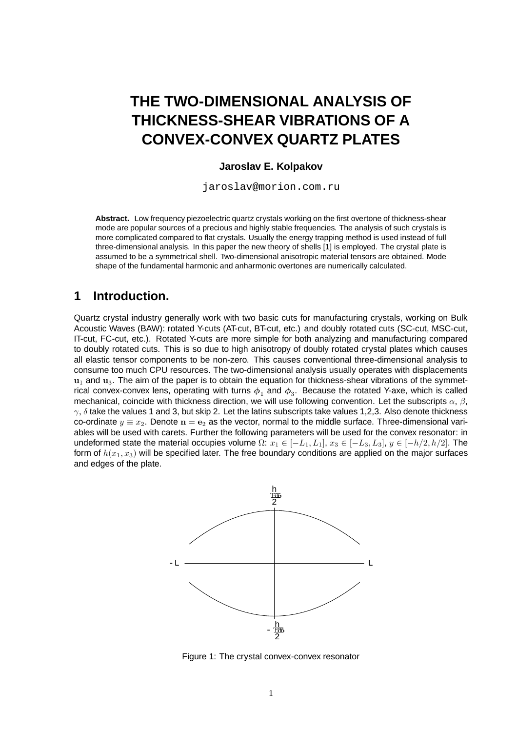# **THE TWO-DIMENSIONAL ANALYSIS OF THICKNESS-SHEAR VIBRATIONS OF A CONVEX-CONVEX QUARTZ PLATES**

#### **Jaroslav E. Kolpakov**

jaroslav@morion.com.ru

**Abstract.** Low frequency piezoelectric quartz crystals working on the first overtone of thickness-shear mode are popular sources of a precious and highly stable frequencies. The analysis of such crystals is more complicated compared to flat crystals. Usually the energy trapping method is used instead of full three-dimensional analysis. In this paper the new theory of shells [1] is employed. The crystal plate is assumed to be a symmetrical shell. Two-dimensional anisotropic material tensors are obtained. Mode shape of the fundamental harmonic and anharmonic overtones are numerically calculated.

#### **1 Introduction.**

Quartz crystal industry generally work with two basic cuts for manufacturing crystals, working on Bulk Acoustic Waves (BAW): rotated Y-cuts (AT-cut, BT-cut, etc.) and doubly rotated cuts (SC-cut, MSC-cut, IT-cut, FC-cut, etc.). Rotated Y-cuts are more simple for both analyzing and manufacturing compared to doubly rotated cuts. This is so due to high anisotropy of doubly rotated crystal plates which causes all elastic tensor components to be non-zero. This causes conventional three-dimensional analysis to consume too much CPU resources. The two-dimensional analysis usually operates with displacements  $u_1$  and  $u_3$ . The aim of the paper is to obtain the equation for thickness-shear vibrations of the symmetrical convex-convex lens, operating with turns  $\phi_1$  and  $\phi_3$ . Because the rotated Y-axe, which is called mechanical, coincide with thickness direction, we will use following convention. Let the subscripts  $\alpha$ ,  $\beta$ ,  $\gamma$ ,  $\delta$  take the values 1 and 3, but skip 2. Let the latins subscripts take values 1,2,3. Also denote thickness co-ordinate  $y \equiv x_2$ . Denote  $n = e_2$  as the vector, normal to the middle surface. Three-dimensional variables will be used with carets. Further the following parameters will be used for the convex resonator: in undeformed state the material occupies volume  $\Omega: x_1 \in [-L_1,L_1], x_3 \in [-L_3,L_3], y \in [-h/2,h/2].$  The form of  $h(x_1, x_3)$  will be specified later. The free boundary conditions are applied on the major surfaces and edges of the plate.



Figure 1: The crystal convex-convex resonator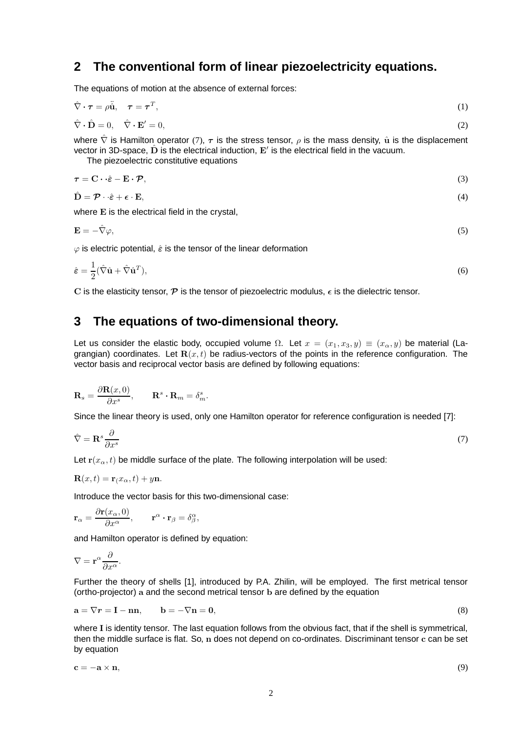# **2 The conventional form of linear piezoelectricity equations.**

The equations of motion at the absence of external forces:

$$
\hat{\nabla} \cdot \boldsymbol{\tau} = \rho \ddot{\hat{\mathbf{u}}}, \quad \boldsymbol{\tau} = \boldsymbol{\tau}^T,
$$
\n<sup>(1)</sup>

$$
\hat{\nabla} \cdot \hat{\mathbf{D}} = 0, \quad \hat{\nabla} \cdot \mathbf{E}' = 0,
$$
\n(2)

where  $\hat{\nabla}$  is Hamilton operator (7),  $\tau$  is the stress tensor,  $\rho$  is the mass density,  $\hat{u}$  is the displacement vector in 3D-space,  $\hat{D}$  is the electrical induction,  $E'$  is the electrical field in the vacuum.

The piezoelectric constitutive equations

$$
\tau = \mathbf{C} \cdot \hat{\boldsymbol{\varepsilon}} - \mathbf{E} \cdot \mathcal{P},\tag{3}
$$
\n
$$
\hat{\mathbf{D}} = \mathcal{P} \cdot \hat{\boldsymbol{\varepsilon}} + \boldsymbol{\varepsilon} \cdot \mathbf{E}.\tag{4}
$$

where E is the electrical field in the crystal,

 $\mathbf{E} = -\hat{\nabla}\varphi,$  (5)

 $\varphi$  is electric potential,  $\hat{\varepsilon}$  is the tensor of the linear deformation

$$
\hat{\varepsilon} = \frac{1}{2} (\hat{\nabla} \hat{\mathbf{u}} + \hat{\nabla} \hat{\mathbf{u}}^T),
$$
\n(6)

C is the elasticity tensor,  $\mathcal P$  is the tensor of piezoelectric modulus,  $\epsilon$  is the dielectric tensor.

## **3 The equations of two-dimensional theory.**

Let us consider the elastic body, occupied volume  $\Omega$ . Let  $x = (x_1, x_3, y) \equiv (x_{\alpha}, y)$  be material (Lagrangian) coordinates. Let  $\mathbf{R}(x,t)$  be radius-vectors of the points in the reference configuration. The vector basis and reciprocal vector basis are defined by following equations:

$$
\mathbf{R}_s = \frac{\partial \mathbf{R}(x,0)}{\partial x^s}, \qquad \mathbf{R}^s \cdot \mathbf{R}_m = \delta_m^s.
$$

Since the linear theory is used, only one Hamilton operator for reference configuration is needed [7]:

$$
\hat{\nabla} = \mathbf{R}^s \frac{\partial}{\partial x^s} \tag{7}
$$

Let  $r(x_\alpha,t)$  be middle surface of the plate. The following interpolation will be used:

$$
\mathbf{R}(x,t) = \mathbf{r}(x_{\alpha},t) + y\mathbf{n}.
$$

Introduce the vector basis for this two-dimensional case:

$$
\mathbf{r}_{\alpha} = \frac{\partial \mathbf{r}(x_{\alpha}, 0)}{\partial x^{\alpha}}, \qquad \mathbf{r}^{\alpha} \cdot \mathbf{r}_{\beta} = \delta^{\alpha}_{\beta},
$$

and Hamilton operator is defined by equation:

$$
\nabla = \mathbf{r}^{\alpha} \frac{\partial}{\partial x^{\alpha}}.
$$

Further the theory of shells [1], introduced by P.A. Zhilin, will be employed. The first metrical tensor (ortho-projector) a and the second metrical tensor b are defined by the equation

$$
\mathbf{a} = \nabla \mathbf{r} = \mathbf{I} - \mathbf{n} \mathbf{n}, \qquad \mathbf{b} = -\nabla \mathbf{n} = \mathbf{0}, \tag{8}
$$

where I is identity tensor. The last equation follows from the obvious fact, that if the shell is symmetrical, then the middle surface is flat. So, n does not depend on co-ordinates. Discriminant tensor c can be set by equation

$$
\mathbf{c} = -\mathbf{a} \times \mathbf{n},\tag{9}
$$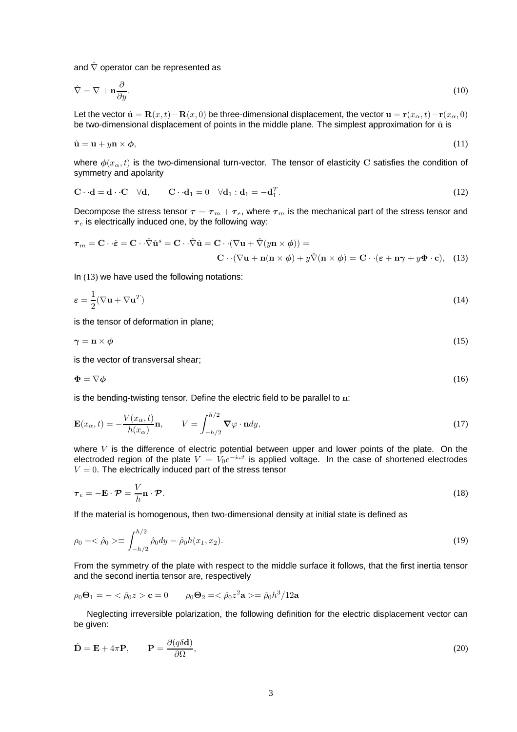and  $\hat{\nabla}$  operator can be represented as

$$
\hat{\nabla} = \nabla + \mathbf{n} \frac{\partial}{\partial y}.\tag{10}
$$

Let the vector  $\hat{\mathbf{u}} = \mathbf{R}(x,t) - \mathbf{R}(x,0)$  be three-dimensional displacement, the vector  $\mathbf{u} = \mathbf{r}(x_0,t) - \mathbf{r}(x_0,0)$ be two-dimensional displacement of points in the middle plane. The simplest approximation for  $\hat{u}$  is

$$
\hat{\mathbf{u}} = \mathbf{u} + y\mathbf{n} \times \boldsymbol{\phi},\tag{11}
$$

where  $\phi(x_0, t)$  is the two-dimensional turn-vector. The tensor of elasticity C satisfies the condition of symmetry and apolarity

$$
\mathbf{C} \cdot \mathbf{d} = \mathbf{d} \cdot \mathbf{C} \quad \forall \mathbf{d}, \qquad \mathbf{C} \cdot \mathbf{d}_1 = 0 \quad \forall \mathbf{d}_1 : \mathbf{d}_1 = -\mathbf{d}_1^T. \tag{12}
$$

Decompose the stress tensor  $\tau = \tau_m + \tau_e$ , where  $\tau_m$  is the mechanical part of the stress tensor and  $\tau_e$  is electrically induced one, by the following way:

$$
\boldsymbol{\tau}_m = \mathbf{C} \cdot \hat{\boldsymbol{\varepsilon}} = \mathbf{C} \cdot \hat{\nabla} \hat{\mathbf{u}}^s = \mathbf{C} \cdot \hat{\nabla} \hat{\mathbf{u}} = \mathbf{C} \cdot (\nabla \mathbf{u} + \hat{\nabla}(y \mathbf{n} \times \boldsymbol{\phi})) =
$$

$$
\mathbf{C} \cdot (\nabla \mathbf{u} + \mathbf{n}(\mathbf{n} \times \boldsymbol{\phi}) + y \hat{\nabla}(\mathbf{n} \times \boldsymbol{\phi}) = \mathbf{C} \cdot (\boldsymbol{\varepsilon} + \mathbf{n}\boldsymbol{\gamma} + y\boldsymbol{\Phi} \cdot \mathbf{c}), \quad (13)
$$

In (13) we have used the following notations:

$$
\varepsilon = \frac{1}{2} (\nabla \mathbf{u} + \nabla \mathbf{u}^T) \tag{14}
$$

is the tensor of deformation in plane;

$$
\gamma = \mathbf{n} \times \phi \tag{15}
$$

is the vector of transversal shear;

$$
\Phi = \nabla \phi \tag{16}
$$

is the bending-twisting tensor. Define the electric field to be parallel to  $n$ :

$$
\mathbf{E}(x_{\alpha},t) = -\frac{V(x_{\alpha},t)}{h(x_{\alpha})}\mathbf{n}, \qquad V = \int_{-h/2}^{h/2} \mathbf{\nabla} \varphi \cdot \mathbf{n} dy,
$$
\n(17)

where  $V$  is the difference of electric potential between upper and lower points of the plate. On the electroded region of the plate  $V = V_0 e^{-i\omega t}$  is applied voltage. In the case of shortened electrodes  $V = 0$ . The electrically induced part of the stress tensor

$$
\boldsymbol{\tau}_e = -\mathbf{E} \cdot \boldsymbol{\mathcal{P}} = \frac{V}{h} \mathbf{n} \cdot \boldsymbol{\mathcal{P}}.
$$
\n(18)

If the material is homogenous, then two-dimensional density at initial state is defined as

$$
\rho_0 = \langle \hat{\rho}_0 \rangle \equiv \int_{-h/2}^{h/2} \hat{\rho}_0 dy = \hat{\rho}_0 h(x_1, x_2). \tag{19}
$$

From the symmetry of the plate with respect to the middle surface it follows, that the first inertia tensor and the second inertia tensor are, respectively

$$
\rho_0 \mathbf{\Theta}_1 = -\langle \hat{\rho}_0 z \rangle \mathbf{c} = 0
$$
  $\rho_0 \mathbf{\Theta}_2 = \langle \hat{\rho}_0 z^2 \mathbf{a} \rangle = \hat{\rho}_0 h^3 / 12 \mathbf{a}$ 

Neglecting irreversible polarization, the following definition for the electric displacement vector can be given:

$$
\hat{\mathbf{D}} = \mathbf{E} + 4\pi \mathbf{P}, \qquad \mathbf{P} = \frac{\partial (q\delta \mathbf{d})}{\partial \Omega},
$$
\n(20)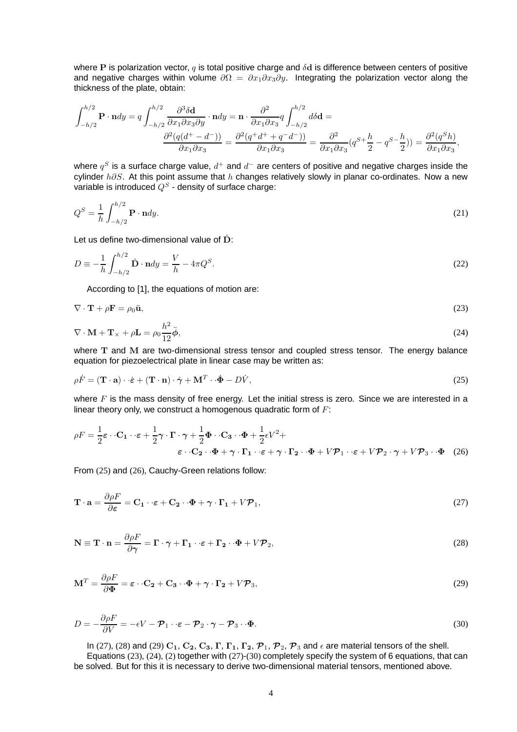where P is polarization vector,  $q$  is total positive charge and  $\delta d$  is difference between centers of positive and negative charges within volume  $\partial \Omega = \partial x_1 \partial x_3 \partial y$ . Integrating the polarization vector along the thickness of the plate, obtain:

$$
\int_{-h/2}^{h/2} \mathbf{P} \cdot \mathbf{n} dy = q \int_{-h/2}^{h/2} \frac{\partial^3 \delta \mathbf{d}}{\partial x_1 \partial x_3 \partial y} \cdot \mathbf{n} dy = \mathbf{n} \cdot \frac{\partial^2}{\partial x_1 \partial x_3} q \int_{-h/2}^{h/2} d\delta \mathbf{d} =
$$

$$
\frac{\partial^2 (q(d^+ - d^-))}{\partial x_1 \partial x_3} = \frac{\partial^2 (q^+ d^+ + q^- d^-)}{\partial x_1 \partial x_3} = \frac{\partial^2}{\partial x_1 \partial x_3} (q^{S+} \frac{h}{2} - q^{S-} \frac{h}{2})) = \frac{\partial^2 (q^S h)}{\partial x_1 \partial x_3},
$$

where  $q^S$  is a surface charge value,  $d^+$  and  $d^-$  are centers of positive and negative charges inside the cylinder  $h\partial S$ . At this point assume that  $h$  changes relatively slowly in planar co-ordinates. Now a new variable is introduced  $Q^S$  - density of surface charge:

$$
Q^S = \frac{1}{h} \int_{-h/2}^{h/2} \mathbf{P} \cdot \mathbf{n} dy.
$$
 (21)

Let us define two-dimensional value of  $\hat{D}$ :

$$
D = -\frac{1}{h} \int_{-h/2}^{h/2} \hat{\mathbf{D}} \cdot \mathbf{n} dy = \frac{V}{h} - 4\pi Q^S.
$$
 (22)

According to [1], the equations of motion are:

$$
\nabla \cdot \mathbf{T} + \rho \mathbf{F} = \rho_0 \ddot{\mathbf{u}},\tag{23}
$$

$$
\nabla \cdot \mathbf{M} + \mathbf{T}_{\times} + \rho \mathbf{L} = \rho_0 \frac{h^2}{12} \ddot{\boldsymbol{\phi}},\tag{24}
$$

where T and M are two-dimensional stress tensor and coupled stress tensor. The energy balance equation for piezoelectrical plate in linear case may be written as:

$$
\rho \dot{F} = (\mathbf{T} \cdot \mathbf{a}) \cdot \dot{\boldsymbol{\varepsilon}} + (\mathbf{T} \cdot \mathbf{n}) \cdot \dot{\boldsymbol{\gamma}} + \mathbf{M}^T \cdot \dot{\boldsymbol{\Phi}} - D\dot{V},\tag{25}
$$

where  $F$  is the mass density of free energy. Let the initial stress is zero. Since we are interested in a linear theory only, we construct a homogenous quadratic form of  $F$ :

$$
\rho F = \frac{1}{2} \varepsilon \cdot \mathbf{C}_1 \cdot \varepsilon + \frac{1}{2} \gamma \cdot \mathbf{\Gamma} \cdot \gamma + \frac{1}{2} \Phi \cdot \mathbf{C}_3 \cdot \Phi + \frac{1}{2} \varepsilon V^2 + \varepsilon \cdot \mathbf{C}_2 \cdot \Phi + \gamma \cdot \mathbf{\Gamma}_1 \cdot \varepsilon + \gamma \cdot \mathbf{\Gamma}_2 \cdot \Phi + V \mathcal{P}_1 \cdot \varepsilon + V \mathcal{P}_2 \cdot \gamma + V \mathcal{P}_3 \cdot \Phi \quad (26)
$$

From (25) and (26), Cauchy-Green relations follow:

$$
\mathbf{T} \cdot \mathbf{a} = \frac{\partial \rho F}{\partial \varepsilon} = \mathbf{C}_1 \cdot \varepsilon + \mathbf{C}_2 \cdot \Phi + \gamma \cdot \mathbf{\Gamma}_1 + V \mathcal{P}_1,
$$
\n(27)

$$
\mathbf{N} \equiv \mathbf{T} \cdot \mathbf{n} = \frac{\partial \rho F}{\partial \gamma} = \mathbf{\Gamma} \cdot \gamma + \mathbf{\Gamma}_1 \cdot \varepsilon + \mathbf{\Gamma}_2 \cdot \Phi + V \mathcal{P}_2,
$$
\n(28)

$$
\mathbf{M}^T = \frac{\partial \rho F}{\partial \Phi} = \boldsymbol{\varepsilon} \cdot \mathbf{C}_2 + \mathbf{C}_3 \cdot \Phi + \boldsymbol{\gamma} \cdot \mathbf{\Gamma}_2 + V \mathcal{P}_3,\tag{29}
$$

$$
D = -\frac{\partial \rho F}{\partial V} = -\epsilon V - \mathcal{P}_1 \cdot \varepsilon - \mathcal{P}_2 \cdot \gamma - \mathcal{P}_3 \cdot \Phi.
$$
\n(30)

In (27), (28) and (29)  $C_1$ ,  $C_2$ ,  $C_3$ ,  $\Gamma$ ,  $\Gamma_1$ ,  $\Gamma_2$ ,  $\mathcal{P}_1$ ,  $\mathcal{P}_2$ ,  $\mathcal{P}_3$  and  $\epsilon$  are material tensors of the shell. Equations (23), (24), (2) together with (27)-(30) completely specify the system of 6 equations, that can be solved. But for this it is necessary to derive two-dimensional material tensors, mentioned above.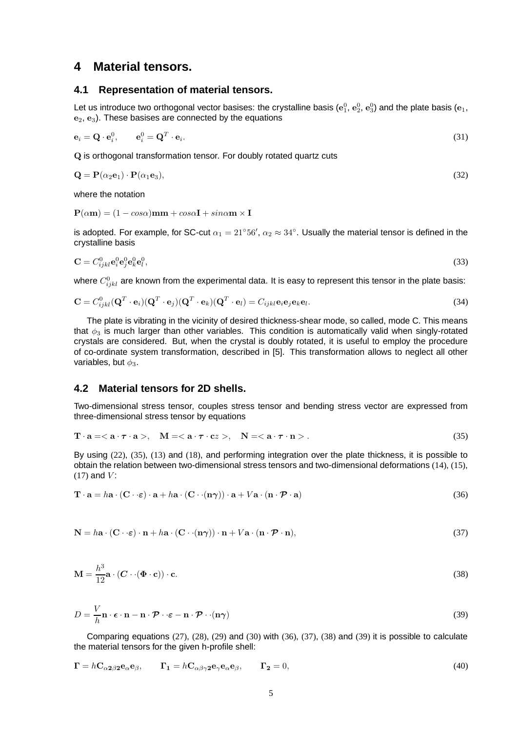## **4 Material tensors.**

#### **4.1 Representation of material tensors.**

Let us introduce two orthogonal vector basises: the crystalline basis  $(\mathbf{e}_1^0,\,\mathbf{e}_2^0,\,\mathbf{e}_3^0)$  and the plate basis  $(\mathbf{e}_1,\,$  $e_2, e_3$ ). These basises are connected by the equations

$$
\mathbf{e}_i = \mathbf{Q} \cdot \mathbf{e}_i^0, \qquad \mathbf{e}_i^0 = \mathbf{Q}^T \cdot \mathbf{e}_i. \tag{31}
$$

Q is orthogonal transformation tensor. For doubly rotated quartz cuts

$$
\mathbf{Q} = \mathbf{P}(\alpha_2 \mathbf{e}_1) \cdot \mathbf{P}(\alpha_1 \mathbf{e}_3),\tag{32}
$$

where the notation

 $P(\alpha m) = (1 - cos\alpha)mm + cos\alpha I + sin\alpha m \times I$ 

is adopted. For example, for SC-cut  $\alpha_1 = 21°56'$ ,  $\alpha_2 \approx 34°$ . Usually the material tensor is defined in the crystalline basis

$$
\mathbf{C} = C_{ijkl}^0 \mathbf{e}_j^0 \mathbf{e}_k^0 \mathbf{e}_l^0, \tag{33}
$$

where  $C^0_{ijkl}$  are known from the experimental data. It is easy to represent this tensor in the plate basis:

$$
\mathbf{C} = C_{ijkl}^0(\mathbf{Q}^T \cdot \mathbf{e}_i)(\mathbf{Q}^T \cdot \mathbf{e}_j)(\mathbf{Q}^T \cdot \mathbf{e}_k)(\mathbf{Q}^T \cdot \mathbf{e}_l) = C_{ijkl}\mathbf{e}_i\mathbf{e}_j\mathbf{e}_k\mathbf{e}_l.
$$
 (34)

The plate is vibrating in the vicinity of desired thickness-shear mode, so called, mode C. This means that  $\phi_3$  is much larger than other variables. This condition is automatically valid when singly-rotated crystals are considered. But, when the crystal is doubly rotated, it is useful to employ the procedure of co-ordinate system transformation, described in [5]. This transformation allows to neglect all other variables, but  $\phi_3$ .

#### **4.2 Material tensors for 2D shells.**

Two-dimensional stress tensor, couples stress tensor and bending stress vector are expressed from three-dimensional stress tensor by equations

$$
\mathbf{T} \cdot \mathbf{a} = \langle \mathbf{a} \cdot \boldsymbol{\tau} \cdot \mathbf{a} \rangle, \quad \mathbf{M} = \langle \mathbf{a} \cdot \boldsymbol{\tau} \cdot \mathbf{c} z \rangle, \quad \mathbf{N} = \langle \mathbf{a} \cdot \boldsymbol{\tau} \cdot \mathbf{n} \rangle. \tag{35}
$$

By using (22), (35), (13) and (18), and performing integration over the plate thickness, it is possible to obtain the relation between two-dimensional stress tensors and two-dimensional deformations (14), (15),  $(17)$  and  $V$ :

$$
\mathbf{T} \cdot \mathbf{a} = h\mathbf{a} \cdot (\mathbf{C} \cdot \varepsilon) \cdot \mathbf{a} + h\mathbf{a} \cdot (\mathbf{C} \cdot (\mathbf{n}\gamma)) \cdot \mathbf{a} + V\mathbf{a} \cdot (\mathbf{n} \cdot \mathcal{P} \cdot \mathbf{a})
$$
(36)

$$
\mathbf{N} = h\mathbf{a} \cdot (\mathbf{C} \cdot \varepsilon) \cdot \mathbf{n} + h\mathbf{a} \cdot (\mathbf{C} \cdot (\mathbf{n}\gamma)) \cdot \mathbf{n} + V\mathbf{a} \cdot (\mathbf{n} \cdot \mathcal{P} \cdot \mathbf{n}),
$$
\n(37)

$$
\mathbf{M} = \frac{h^3}{12} \mathbf{a} \cdot (\mathbf{C} \cdot (\mathbf{\Phi} \cdot \mathbf{c})) \cdot \mathbf{c}.
$$
 (38)

$$
D = \frac{V}{h}\mathbf{n} \cdot \boldsymbol{\epsilon} \cdot \mathbf{n} - \mathbf{n} \cdot \boldsymbol{\mathcal{P}} \cdot \boldsymbol{\epsilon} - \mathbf{n} \cdot \boldsymbol{\mathcal{P}} \cdot \cdot (\mathbf{n}\boldsymbol{\gamma})
$$
(39)

Comparing equations (27), (28), (29) and (30) with (36), (37), (38) and (39) it is possible to calculate the material tensors for the given h-profile shell:

$$
\Gamma = hC_{\alpha 2\beta 2}e_{\alpha}e_{\beta}, \qquad \Gamma_1 = hC_{\alpha\beta\gamma 2}e_{\gamma}e_{\alpha}e_{\beta}, \qquad \Gamma_2 = 0,
$$
\n(40)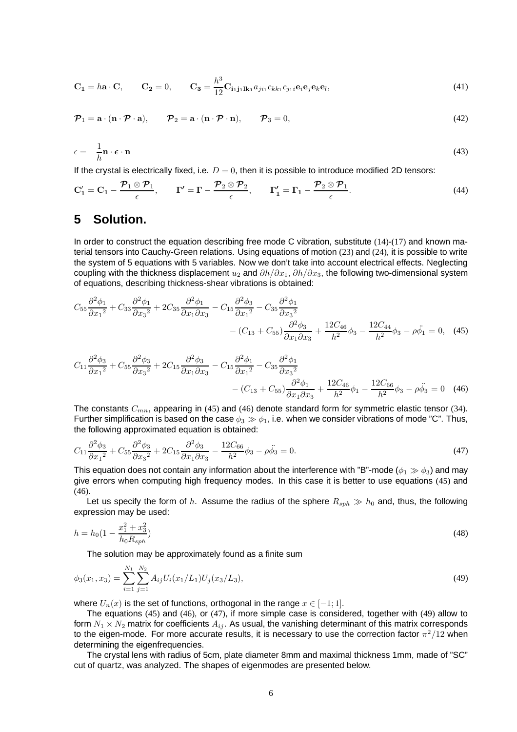$$
\mathbf{C_1} = h\mathbf{a} \cdot \mathbf{C}, \qquad \mathbf{C_2} = 0, \qquad \mathbf{C_3} = \frac{h^3}{12} \mathbf{C_{i_1 j_1 l k_1}} a_{j i_1} c_{k k_1} c_{j_1 i} \mathbf{e}_i \mathbf{e}_j \mathbf{e}_k \mathbf{e}_l,\tag{41}
$$

$$
\mathcal{P}_1 = \mathbf{a} \cdot (\mathbf{n} \cdot \mathcal{P} \cdot \mathbf{a}), \qquad \mathcal{P}_2 = \mathbf{a} \cdot (\mathbf{n} \cdot \mathcal{P} \cdot \mathbf{n}), \qquad \mathcal{P}_3 = 0,
$$
\n(42)

$$
\epsilon = -\frac{1}{h}\mathbf{n} \cdot \boldsymbol{\epsilon} \cdot \mathbf{n} \tag{43}
$$

If the crystal is electrically fixed, i.e.  $D = 0$ , then it is possible to introduce modified 2D tensors:

$$
\mathbf{C}'_1 = \mathbf{C}_1 - \frac{\mathcal{P}_1 \otimes \mathcal{P}_1}{\epsilon}, \qquad \mathbf{\Gamma}' = \mathbf{\Gamma} - \frac{\mathcal{P}_2 \otimes \mathcal{P}_2}{\epsilon}, \qquad \mathbf{\Gamma}'_1 = \mathbf{\Gamma}_1 - \frac{\mathcal{P}_2 \otimes \mathcal{P}_1}{\epsilon}.
$$
 (44)

### **5 Solution.**

In order to construct the equation describing free mode C vibration, substitute (14)-(17) and known material tensors into Cauchy-Green relations. Using equations of motion (23) and (24), it is possible to write the system of 5 equations with 5 variables. Now we don't take into account electrical effects. Neglecting coupling with the thickness displacement  $u_2$  and  $\partial h/\partial x_1$ ,  $\partial h/\partial x_3$ , the following two-dimensional system of equations, describing thickness-shear vibrations is obtained:

$$
C_{55}\frac{\partial^2 \phi_1}{\partial x_1^2} + C_{33}\frac{\partial^2 \phi_1}{\partial x_3^2} + 2C_{35}\frac{\partial^2 \phi_1}{\partial x_1 \partial x_3} - C_{15}\frac{\partial^2 \phi_3}{\partial x_1^2} - C_{35}\frac{\partial^2 \phi_1}{\partial x_3^2} - (C_{13} + C_{55})\frac{\partial^2 \phi_3}{\partial x_1 \partial x_3} + \frac{12C_{46}}{h^2}\phi_3 - \frac{12C_{44}}{h^2}\phi_3 - \rho\ddot{\phi}_1 = 0, \quad (45)
$$

$$
C_{11}\frac{\partial^2 \phi_3}{\partial x_1^2} + C_{55}\frac{\partial^2 \phi_3}{\partial x_3^2} + 2C_{15}\frac{\partial^2 \phi_3}{\partial x_1 \partial x_3} - C_{15}\frac{\partial^2 \phi_1}{\partial x_1^2} - C_{35}\frac{\partial^2 \phi_1}{\partial x_3^2} - C_{35}\frac{\partial^2 \phi_1}{\partial x_3^2} - (C_{13} + C_{55})\frac{\partial^2 \phi_1}{\partial x_1 \partial x_3} + \frac{12C_{46}}{h^2} \phi_1 - \frac{12C_{66}}{h^2} \phi_3 - \rho \ddot{\phi}_3 = 0 \quad (46)
$$

The constants  $C_{mn}$ , appearing in (45) and (46) denote standard form for symmetric elastic tensor (34). Further simplification is based on the case  $\phi_3 \gg \phi_1$ , i.e. when we consider vibrations of mode "C". Thus, the following approximated equation is obtained:

$$
C_{11}\frac{\partial^2 \phi_3}{\partial x_1^2} + C_{55}\frac{\partial^2 \phi_3}{\partial x_3^2} + 2C_{15}\frac{\partial^2 \phi_3}{\partial x_1 \partial x_3} - \frac{12C_{66}}{h^2}\phi_3 - \rho \ddot{\phi}_3 = 0. \tag{47}
$$

This equation does not contain any information about the interference with "B"-mode ( $\phi_1 \gg \phi_3$ ) and may give errors when computing high frequency modes. In this case it is better to use equations (45) and  $(46)$ .

Let us specify the form of h. Assume the radius of the sphere  $R_{sph} \gg h_0$  and, thus, the following expression may be used:

$$
h = h_0 \left( 1 - \frac{x_1^2 + x_3^2}{h_0 R_{sph}} \right) \tag{48}
$$

The solution may be approximately found as a finite sum

$$
\phi_3(x_1, x_3) = \sum_{i=1}^{N_1} \sum_{j=1}^{N_2} A_{ij} U_i(x_1/L_1) U_j(x_3/L_3),\tag{49}
$$

where  $U_n(x)$  is the set of functions, orthogonal in the range  $x \in [-1, 1]$ .

The equations (45) and (46), or (47), if more simple case is considered, together with (49) allow to form  $N_1 \times N_2$  matrix for coefficients  $A_{ij}$ . As usual, the vanishing determinant of this matrix corresponds to the eigen-mode. For more accurate results, it is necessary to use the correction factor  $\pi^2/12$  when determining the eigenfrequencies.

The crystal lens with radius of 5cm, plate diameter 8mm and maximal thickness 1mm, made of "SC" cut of quartz, was analyzed. The shapes of eigenmodes are presented below.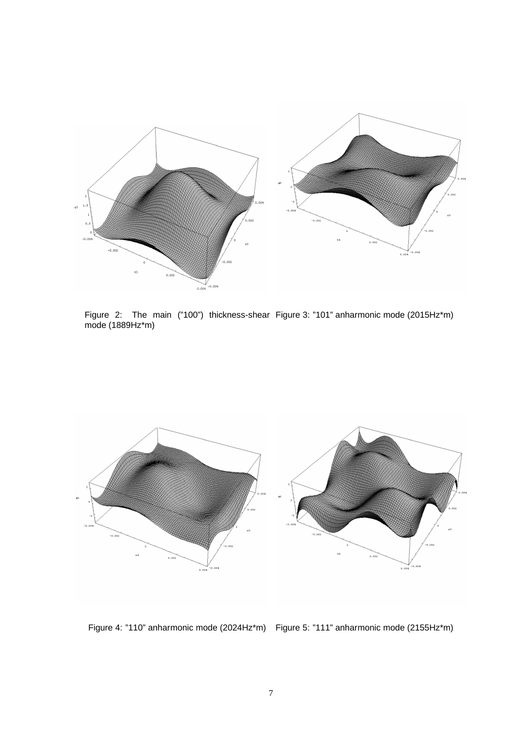

Figure 2: The main ("100") thickness-shear mode (1889Hz\*m) Figure 3: "101" anharmonic mode (2015Hz\*m)



Figure 4: "110" anharmonic mode (2024Hz\*m) Figure 5: "111" anharmonic mode (2155Hz\*m)